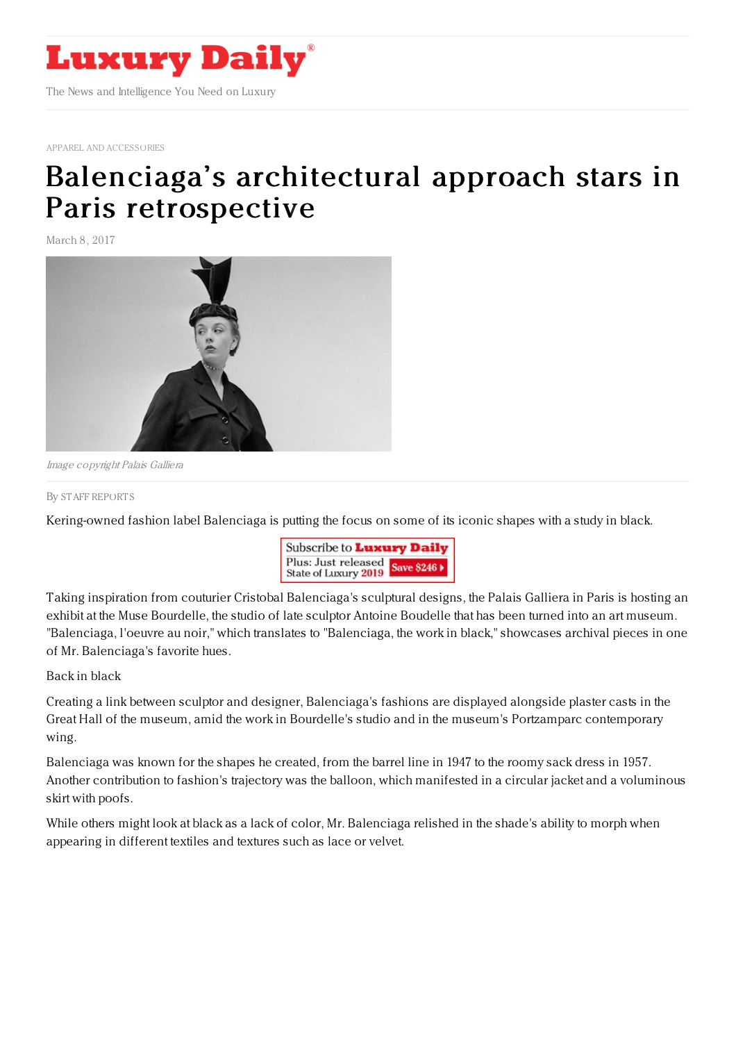

APPAREL AND [ACCESSORIES](https://www.luxurydaily.com/category/sectors/apparel-and-accessories/)

## Balenciaga's architectural approach stars in Paris [retrospective](https://www.luxurydaily.com/balenciagas-architectural-approach-stars-in-paris-retrospective/)

March 8, 2017



Image copyright Palais Galliera

## By STAFF [REPORT](file:///author/staff-reports) S

Kering-owned fashion label Balenciaga is putting the focus on some of its iconic shapes with a study in black.



Taking inspiration from couturier Cristobal Balenciaga's sculptural designs, the Palais Galliera in Paris is hosting an exhibit at the Muse Bourdelle, the studio of late sculptor Antoine Boudelle that has been turned into an art museum. "Balenciaga, l'oeuvre au noir," which translates to "Balenciaga, the work in black," showcases archival pieces in one of Mr. Balenciaga's favorite hues.

Back in black

Creating a link between sculptor and designer, Balenciaga's fashions are displayed alongside plaster casts in the Great Hall of the museum, amid the work in Bourdelle's studio and in the museum's Portzamparc contemporary wing.

Balenciaga was known for the shapes he created, from the barrel line in 1947 to the roomy sack dress in 1957. Another contribution to fashion's trajectory was the balloon, which manifested in a circular jacket and a voluminous skirt with poofs.

While others might look at black as a lack of color, Mr. Balenciaga relished in the shade's ability to morph when appearing in different textiles and textures such as lace or velvet.